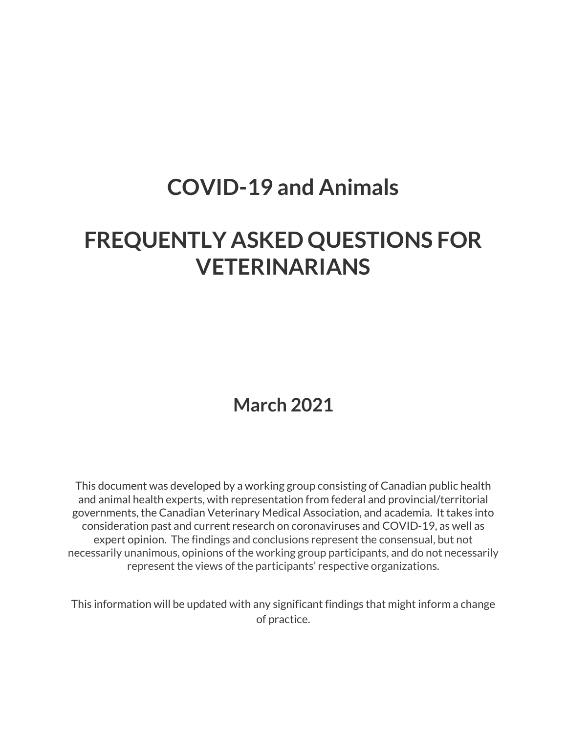# **COVID-19 and Animals**

# **FREQUENTLY ASKED QUESTIONS FOR VETERINARIANS**

## **March 2021**

This document was developed by a working group consisting of Canadian public health and animal health experts, with representation from federal and provincial/territorial governments, the Canadian Veterinary Medical Association, and academia. It takes into consideration past and current research on coronaviruses and COVID-19, as well as expert opinion. The findings and conclusions represent the consensual, but not necessarily unanimous, opinions of the working group participants, and do not necessarily represent the views of the participants' respective organizations.

This information will be updated with any significant findings that might inform a change of practice.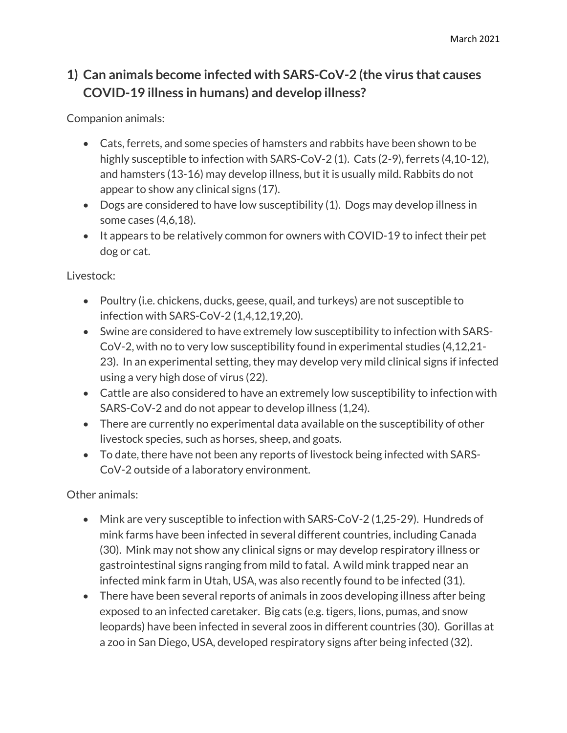### **1) Can animals become infected with SARS-CoV-2 (the virus that causes COVID-19 illness in humans) and develop illness?**

Companion animals:

- Cats, ferrets, and some species of hamsters and rabbits have been shown to be highly susceptible to infection with SARS-CoV-2 (1). Cats (2-9), ferrets (4,10-12), and hamsters (13-16) may develop illness, but it is usually mild. Rabbits do not appear to show any clinical signs (17).
- Dogs are considered to have low susceptibility (1). Dogs may develop illness in some cases (4,6,18).
- $\bullet$  It appears to be relatively common for owners with COVID-19 to infect their pet dog or cat.

Livestock:

- Poultry (i.e. chickens, ducks, geese, quail, and turkeys) are not susceptible to infection with SARS-CoV-2 (1,4,12,19,20).
- Swine are considered to have extremely low susceptibility to infection with SARS-CoV-2, with no to very low susceptibility found in experimental studies (4,12,21- 23). In an experimental setting, they may develop very mild clinical signs if infected using a very high dose of virus (22).
- Cattle are also considered to have an extremely low susceptibility to infection with SARS-CoV-2 and do not appear to develop illness (1,24).
- There are currently no experimental data available on the susceptibility of other livestock species, such as horses, sheep, and goats.
- To date, there have not been any reports of livestock being infected with SARS-CoV-2 outside of a laboratory environment.

Other animals:

- Mink are very susceptible to infection with SARS-CoV-2 (1,25-29). Hundreds of mink farms have been infected in several different countries, including Canada (30). Mink may not show any clinical signs or may develop respiratory illness or gastrointestinal signs ranging from mild to fatal. A wild mink trapped near an infected mink farm in Utah, USA, was also recently found to be infected (31).
- There have been several reports of animals in zoos developing illness after being exposed to an infected caretaker. Big cats (e.g. tigers, lions, pumas, and snow leopards) have been infected in several zoos in different countries (30). Gorillas at a zoo in San Diego, USA, developed respiratory signs after being infected (32).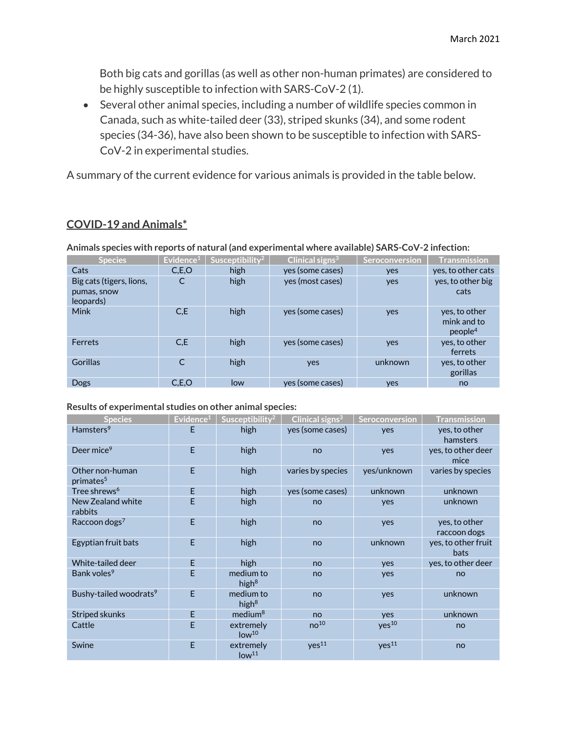Both big cats and gorillas (as well as other non-human primates) are considered to be highly susceptible to infection with SARS-CoV-2 (1).

 Several other animal species, including a number of wildlife species common in Canada, such as white-tailed deer (33), striped skunks (34), and some rodent species (34-36), have also been shown to be susceptible to infection with SARS-CoV-2 in experimental studies.

A summary of the current evidence for various animals is provided in the table below.

#### **COVID-19 and Animals\***

**Animals species with reports of natural (and experimental where available) SARS-CoV-2 infection:**

| <b>Species</b>                                       | Evidence $1$ | Susceptibility <sup>2</sup> | Clinical signs $3$ | Seroconversion | <b>Transmission</b>                                 |
|------------------------------------------------------|--------------|-----------------------------|--------------------|----------------|-----------------------------------------------------|
| Cats                                                 | C.E.O        | high                        | yes (some cases)   | yes            | yes, to other cats                                  |
| Big cats (tigers, lions,<br>pumas, snow<br>leopards) | C            | high                        | yes (most cases)   | yes            | yes, to other big<br>cats                           |
| <b>Mink</b>                                          | C,E          | high                        | yes (some cases)   | yes            | yes, to other<br>mink and to<br>people <sup>4</sup> |
| Ferrets                                              | C.E          | high                        | yes (some cases)   | yes            | yes, to other<br>ferrets                            |
| <b>Gorillas</b>                                      | C            | high                        | yes                | unknown        | yes, to other<br>gorillas                           |
| <b>Dogs</b>                                          | C.E.O        | low                         | yes (some cases)   | yes            | no                                                  |

#### **Results of experimental studies on other animal species:**

| <b>Species</b>                           | Evidence <sup>1</sup> | Susceptibility <sup>2</sup>    | Clinical signs <sup>3</sup> | Seroconversion    | <b>Transmission</b>                |
|------------------------------------------|-----------------------|--------------------------------|-----------------------------|-------------------|------------------------------------|
| Hamsters <sup>9</sup>                    | F                     | high                           | yes (some cases)            | yes               | yes, to other<br>hamsters          |
| Deer mice <sup>9</sup>                   | E                     | high                           | no                          | yes               | yes, to other deer<br>mice         |
| Other non-human<br>primates <sup>5</sup> | E                     | high                           | varies by species           | yes/unknown       | varies by species                  |
| Tree shrews <sup>6</sup>                 | E                     | high                           | yes (some cases)            | unknown           | unknown                            |
| New Zealand white<br>rabbits             | E                     | high                           | no                          | yes               | unknown                            |
| Raccoon dogs <sup>7</sup>                | E                     | high                           | no                          | yes               | yes, to other<br>raccoon dogs      |
| Egyptian fruit bats                      | E                     | high                           | no                          | unknown           | yes, to other fruit<br><b>bats</b> |
| White-tailed deer                        | E                     | high                           | no                          | yes               | yes, to other deer                 |
| Bank voles <sup>9</sup>                  | E                     | medium to<br>high $8$          | no                          | yes               | no                                 |
| Bushy-tailed woodrats <sup>9</sup>       | E                     | medium to<br>high $8$          | no                          | yes               | unknown                            |
| Striped skunks                           | F                     | medium <sup>8</sup>            | no                          | yes               | unknown                            |
| Cattle                                   | E                     | extremely<br>low <sup>10</sup> | no <sup>10</sup>            | yes <sup>10</sup> | no                                 |
| Swine                                    | E                     | extremely<br>low <sup>11</sup> | yes <sup>11</sup>           | yes <sup>11</sup> | no                                 |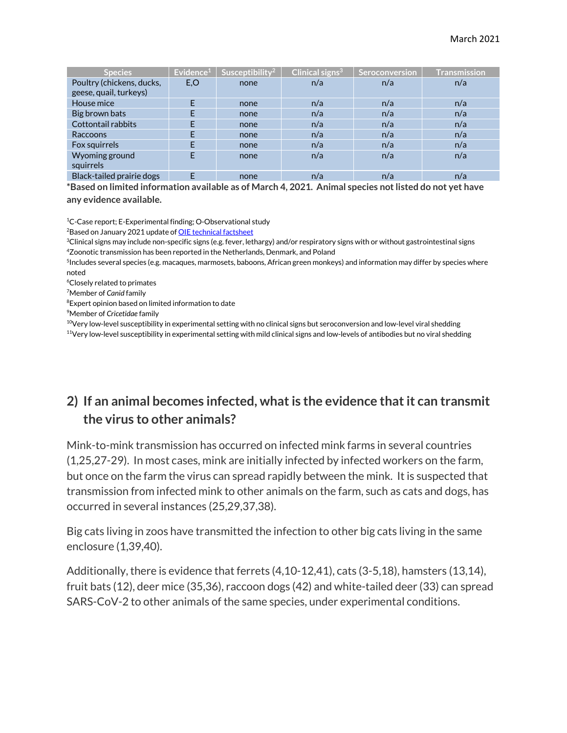| <b>Species</b>            | Evidence <sup>1</sup> | Susceptibility <sup>2</sup> | Clinical signs $3$ | Seroconversion | <b>Transmission</b> |
|---------------------------|-----------------------|-----------------------------|--------------------|----------------|---------------------|
| Poultry (chickens, ducks, | E,O                   | none                        | n/a                | n/a            | n/a                 |
| geese, quail, turkeys)    |                       |                             |                    |                |                     |
| House mice                |                       | none                        | n/a                | n/a            | n/a                 |
| Big brown bats            |                       | none                        | n/a                | n/a            | n/a                 |
| Cottontail rabbits        |                       | none                        | n/a                | n/a            | n/a                 |
| Raccoons                  |                       | none                        | n/a                | n/a            | n/a                 |
| Fox squirrels             |                       | none                        | n/a                | n/a            | n/a                 |
| Wyoming ground            |                       | none                        | n/a                | n/a            | n/a                 |
| squirrels                 |                       |                             |                    |                |                     |
| Black-tailed prairie dogs |                       | none                        | n/a                | n/a            | n/a                 |

**\*Based on limited information available as of March 4, 2021. Animal species not listed do not yet have any evidence available.**

<sup>1</sup>C-Case report; E-Experimental finding; O-Observational study

<sup>2</sup>Based on January 2021 update of <u>OIE technical factsheet</u>

 $^3$ Clinical signs may include non-specific signs (e.g. fever, lethargy) and/or respiratory signs with or without gastrointestinal signs 4 Zoonotic transmission has been reported in the Netherlands, Denmark, and Poland

5 Includes several species (e.g. macaques, marmosets, baboons, African green monkeys) and information may differ by species where noted

6 Closely related to primates

7 Member of *Canid* family

8 Expert opinion based on limited information to date

9 Member of *Cricetidae* family

 $10$ Very low-level susceptibility in experimental setting with no clinical signs but seroconversion and low-level viral shedding

<sup>11</sup>Very low-level susceptibility in experimental setting with mild clinical signs and low-levels of antibodies but no viral shedding

#### **2) If an animal becomes infected, what is the evidence that it can transmit the virus to other animals?**

Mink-to-mink transmission has occurred on infected mink farms in several countries (1,25,27-29). In most cases, mink are initially infected by infected workers on the farm, but once on the farm the virus can spread rapidly between the mink. It is suspected that transmission from infected mink to other animals on the farm, such as cats and dogs, has occurred in several instances (25,29,37,38).

Big cats living in zoos have transmitted the infection to other big cats living in the same enclosure (1,39,40).

Additionally, there is evidence that ferrets (4,10-12,41), cats (3-5,18), hamsters (13,14), fruit bats (12), deer mice (35,36), raccoon dogs (42) and white-tailed deer (33) can spread SARS-CoV-2 to other animals of the same species, under experimental conditions.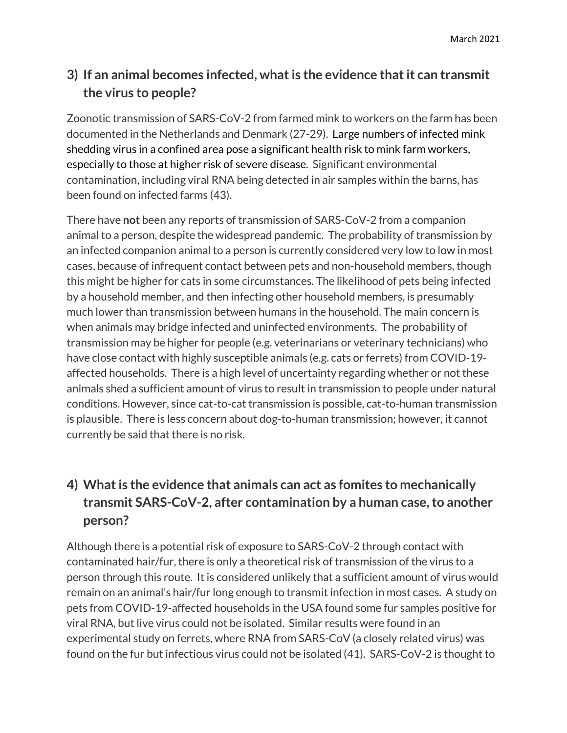### **3) If an animal becomes infected, what is the evidence that it can transmit the virus to people?**

Zoonotic transmission of SARS-CoV-2 from farmed mink to workers on the farm has been documented in the Netherlands and Denmark (27-29). Large numbers of infected mink shedding virus in a confined area pose a significant health risk to mink farm workers, especially to those at higher risk of severe disease. Significant environmental contamination, including viral RNA being detected in air samples within the barns, has been found on infected farms (43).

There have **not** been any reports of transmission of SARS-CoV-2 from a companion animal to a person, despite the widespread pandemic. The probability of transmission by an infected companion animal to a person is currently considered very low to low in most cases, because of infrequent contact between pets and non-household members, though this might be higher for cats in some circumstances. The likelihood of pets being infected by a household member, and then infecting other household members, is presumably much lower than transmission between humans in the household. The main concern is when animals may bridge infected and uninfected environments. The probability of transmission may be higher for people (e.g. veterinarians or veterinary technicians) who have close contact with highly susceptible animals (e.g. cats or ferrets) from COVID-19 affected households. There is a high level of uncertainty regarding whether or not these animals shed a sufficient amount of virus to result in transmission to people under natural conditions. However, since cat-to-cat transmission is possible, cat-to-human transmission is plausible. There is less concern about dog-to-human transmission; however, it cannot currently be said that there is no risk.

## **4) What is the evidence that animals can act as fomites to mechanically transmit SARS-CoV-2, after contamination by a human case, to another person?**

Although there is a potential risk of exposure to SARS-CoV-2 through contact with contaminated hair/fur, there is only a theoretical risk of transmission of the virus to a person through this route. It is considered unlikely that a sufficient amount of virus would remain on an animal's hair/fur long enough to transmit infection in most cases. A study on pets from COVID-19-affected households in the USA found some fur samples positive for viral RNA, but live virus could not be isolated. Similar results were found in an experimental study on ferrets, where RNA from SARS-CoV (a closely related virus) was found on the fur but infectious virus could not be isolated (41). SARS-CoV-2 is thought to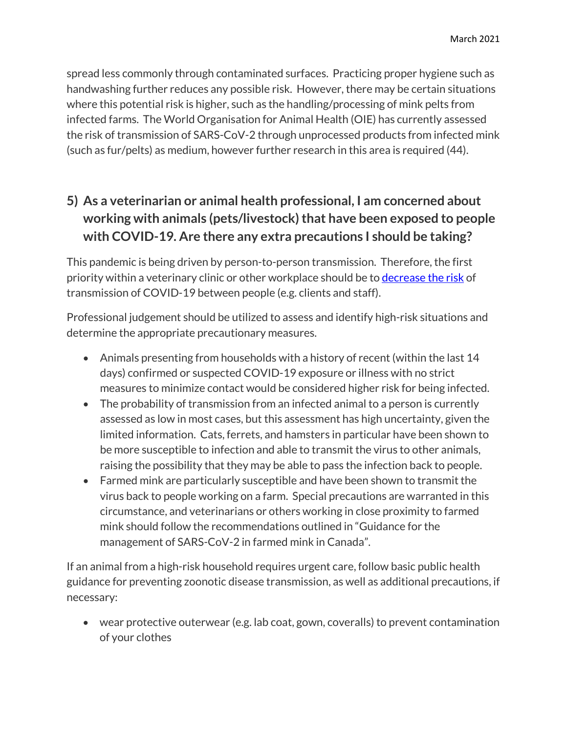spread less commonly through contaminated surfaces. Practicing proper hygiene such as handwashing further reduces any possible risk. However, there may be certain situations where this potential risk is higher, such as the handling/processing of mink pelts from infected farms. The World Organisation for Animal Health (OIE) has currently assessed the risk of transmission of SARS-CoV-2 through unprocessed products from infected mink (such as fur/pelts) as medium, however further research in this area is required (44).

### **5) As a veterinarian or animal health professional, I am concerned about working with animals (pets/livestock) that have been exposed to people with COVID-19. Are there any extra precautions I should be taking?**

This pandemic is being driven by person-to-person transmission. Therefore, the first priority within a veterinary clinic or other workplace should be to decrease the risk of transmission of COVID-19 between people (e.g. clients and staff).

Professional judgement should be utilized to assess and identify high-risk situations and determine the appropriate precautionary measures.

- Animals presenting from households with a history of recent (within the last 14 days) confirmed or suspected COVID-19 exposure or illness with no strict measures to minimize contact would be considered higher risk for being infected.
- The probability of transmission from an infected animal to a person is currently assessed as low in most cases, but this assessment has high uncertainty, given the limited information. Cats, ferrets, and hamsters in particular have been shown to be more susceptible to infection and able to transmit the virus to other animals, raising the possibility that they may be able to pass the infection back to people.
- Farmed mink are particularly susceptible and have been shown to transmit the virus back to people working on a farm. Special precautions are warranted in this circumstance, and veterinarians or others working in close proximity to farmed mink should follow the recommendations outlined in "Guidance for the management of SARS-CoV-2 in farmed mink in Canada".

If an animal from a high-risk household requires urgent care, follow basic public health guidance for preventing zoonotic disease transmission, as well as additional precautions, if necessary:

 wear protective outerwear (e.g. lab coat, gown, coveralls) to prevent contamination of your clothes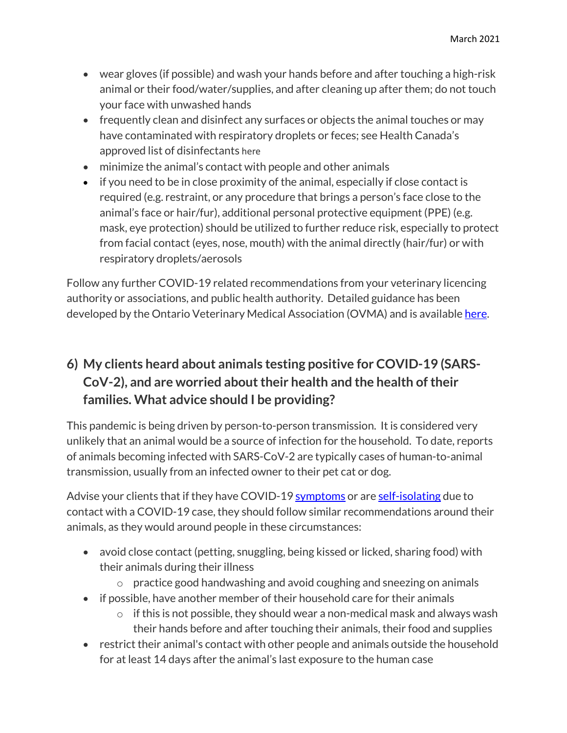- wear gloves (if possible) and wash your hands before and after touching a high-risk animal or their food/water/supplies, and after cleaning up after them; do not touch your face with unwashed hands
- frequently clean and disinfect any surfaces or objects the animal touches or may have contaminated with respiratory droplets or feces; see Health Canada's approved list of disinfectants here
- minimize the animal's contact with people and other animals
- if you need to be in close proximity of the animal, especially if close contact is required (e.g. restraint, or any procedure that brings a person's face close to the animal's face or hair/fur), additional personal protective equipment (PPE) (e.g. mask, eye protection) should be utilized to further reduce risk, especially to protect from facial contact (eyes, nose, mouth) with the animal directly (hair/fur) or with respiratory droplets/aerosols

Follow any further COVID-19 related recommendations from your veterinary licencing authority or associations, and public health authority. Detailed guidance has been developed by the Ontario Veterinary Medical Association (OVMA) and is available here.

## **6) My clients heard about animals testing positive for COVID-19 (SARS-CoV-2), and are worried about their health and the health of their families. What advice should I be providing?**

This pandemic is being driven by person-to-person transmission. It is considered very unlikely that an animal would be a source of infection for the household. To date, reports of animals becoming infected with SARS-CoV-2 are typically cases of human-to-animal transmission, usually from an infected owner to their pet cat or dog.

Advise your clients that if they have COVID-19 symptoms or are self-isolating due to contact with a COVID-19 case, they should follow similar recommendations around their animals, as they would around people in these circumstances:

- avoid close contact (petting, snuggling, being kissed or licked, sharing food) with their animals during their illness
	- $\circ$  practice good handwashing and avoid coughing and sneezing on animals
- if possible, have another member of their household care for their animals
	- $\circ$  if this is not possible, they should wear a non-medical mask and always wash their hands before and after touching their animals, their food and supplies
- restrict their animal's contact with other people and animals outside the household for at least 14 days after the animal's last exposure to the human case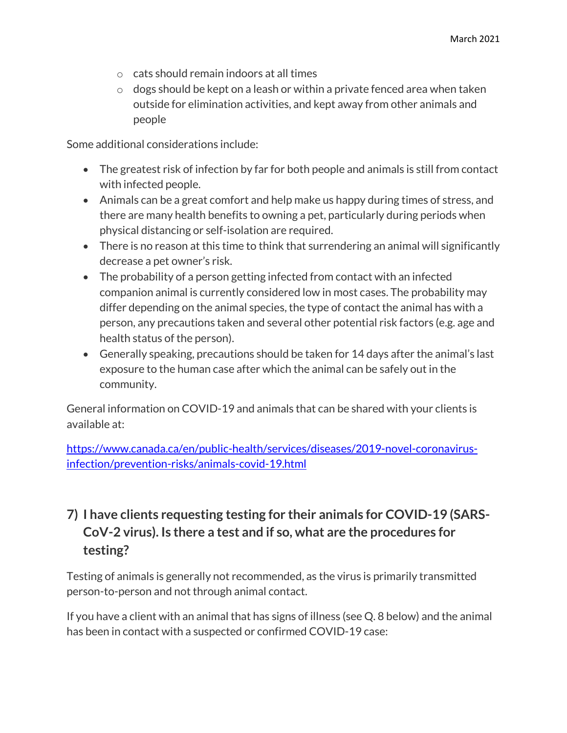- o cats should remain indoors at all times
- $\circ$  dogs should be kept on a leash or within a private fenced area when taken outside for elimination activities, and kept away from other animals and people

Some additional considerations include:

- The greatest risk of infection by far for both people and animals is still from contact with infected people.
- Animals can be a great comfort and help make us happy during times of stress, and there are many health benefits to owning a pet, particularly during periods when physical distancing or self-isolation are required.
- There is no reason at this time to think that surrendering an animal will significantly decrease a pet owner's risk.
- The probability of a person getting infected from contact with an infected companion animal is currently considered low in most cases. The probability may differ depending on the animal species, the type of contact the animal has with a person, any precautions taken and several other potential risk factors (e.g. age and health status of the person).
- Generally speaking, precautions should be taken for 14 days after the animal's last exposure to the human case after which the animal can be safely out in the community.

General information on COVID-19 and animals that can be shared with your clients is available at:

https://www.canada.ca/en/public-health/services/diseases/2019-novel-coronavirusinfection/prevention-risks/animals-covid-19.html

## **7) I have clients requesting testing for their animals for COVID-19 (SARS-CoV-2 virus). Is there a test and if so, what are the procedures for testing?**

Testing of animals is generally not recommended, as the virus is primarily transmitted person-to-person and not through animal contact.

If you have a client with an animal that has signs of illness (see Q. 8 below) and the animal has been in contact with a suspected or confirmed COVID-19 case: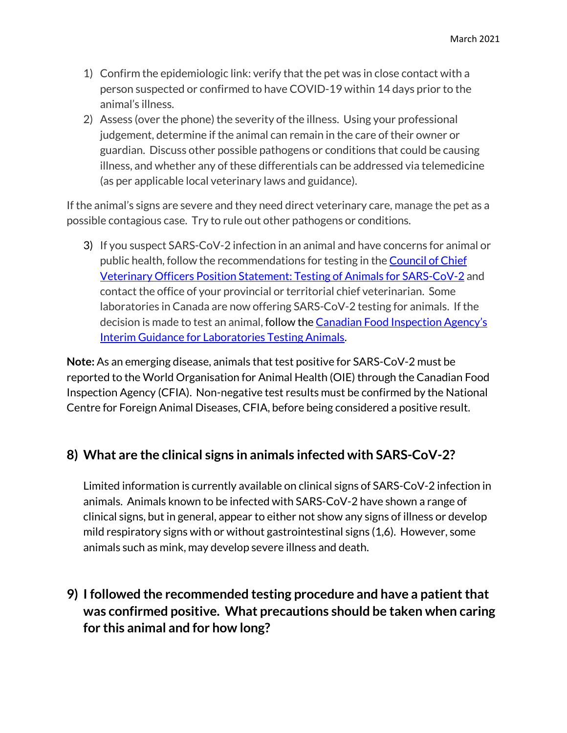- 1) Confirm the epidemiologic link: verify that the pet was in close contact with a person suspected or confirmed to have COVID-19 within 14 days prior to the animal's illness.
- 2) Assess (over the phone) the severity of the illness. Using your professional judgement, determine if the animal can remain in the care of their owner or guardian. Discuss other possible pathogens or conditions that could be causing illness, and whether any of these differentials can be addressed via telemedicine (as per applicable local veterinary laws and guidance).

If the animal's signs are severe and they need direct veterinary care, manage the pet as a possible contagious case. Try to rule out other pathogens or conditions.

3) If you suspect SARS-CoV-2 infection in an animal and have concerns for animal or public health, follow the recommendations for testing in the **Council of Chief** Veterinary Officers Position Statement: Testing of Animals for SARS-CoV-2 and contact the office of your provincial or territorial chief veterinarian. Some laboratories in Canada are now offering SARS-CoV-2 testing for animals. If the decision is made to test an animal, follow the Canadian Food Inspection Agency's Interim Guidance for Laboratories Testing Animals.

**Note:** As an emerging disease, animals that test positive for SARS-CoV-2 must be reported to the World Organisation for Animal Health (OIE) through the Canadian Food Inspection Agency (CFIA). Non-negative test results must be confirmed by the National Centre for Foreign Animal Diseases, CFIA, before being considered a positive result.

#### **8) What are the clinical signs in animals infected with SARS-CoV-2?**

Limited information is currently available on clinical signs of SARS-CoV-2 infection in animals. Animals known to be infected with SARS-CoV-2 have shown a range of clinical signs, but in general, appear to either not show any signs of illness or develop mild respiratory signs with or without gastrointestinal signs (1,6). However, some animals such as mink, may develop severe illness and death.

**9) I followed the recommended testing procedure and have a patient that was confirmed positive. What precautions should be taken when caring for this animal and for how long?**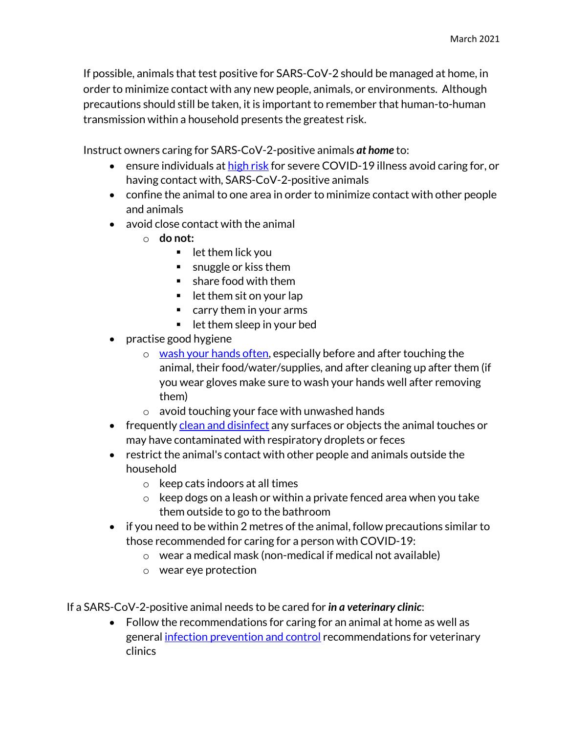If possible, animals that test positive for SARS-CoV-2 should be managed at home, in order to minimize contact with any new people, animals, or environments. Although precautions should still be taken, it is important to remember that human-to-human transmission within a household presents the greatest risk.

Instruct owners caring for SARS-CoV-2-positive animals *at home* to:

- ensure individuals at high risk for severe COVID-19 illness avoid caring for, or having contact with, SARS-CoV-2-positive animals
- confine the animal to one area in order to minimize contact with other people and animals
- avoid close contact with the animal
	- o **do not:**
		- $\blacksquare$  let them lick you
		- **s** snuggle or kiss them
		- share food with them
		- $\blacksquare$  let them sit on your lap
		- carry them in your arms
		- $\blacksquare$  let them sleep in your bed
- practise good hygiene
	- $\circ$  wash your hands often, especially before and after touching the animal, their food/water/supplies, and after cleaning up after them (if you wear gloves make sure to wash your hands well after removing them)
	- o avoid touching your face with unwashed hands
- frequently clean and disinfect any surfaces or objects the animal touches or may have contaminated with respiratory droplets or feces
- restrict the animal's contact with other people and animals outside the household
	- o keep cats indoors at all times
	- $\circ$  keep dogs on a leash or within a private fenced area when you take them outside to go to the bathroom
- if you need to be within 2 metres of the animal, follow precautions similar to those recommended for caring for a person with COVID-19:
	- o wear a medical mask (non-medical if medical not available)
	- o wear eye protection

If a SARS-CoV-2-positive animal needs to be cared for *in a veterinary clinic*:

 Follow the recommendations for caring for an animal at home as well as general infection prevention and control recommendations for veterinary clinics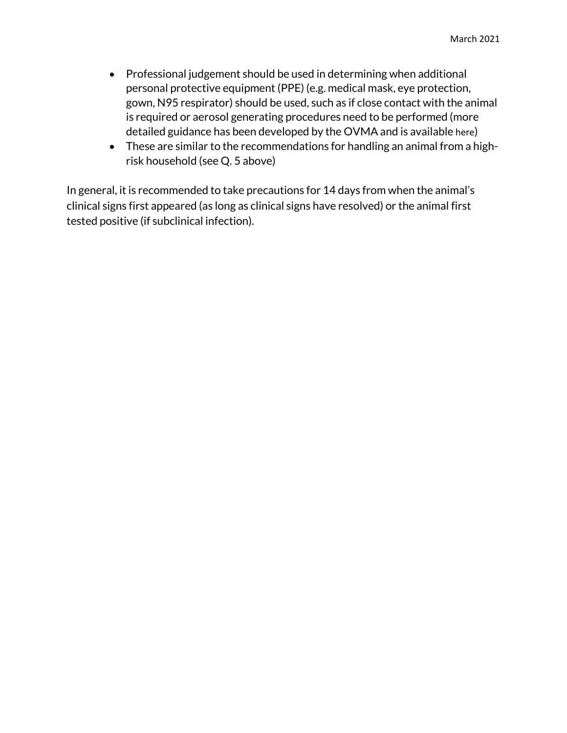- Professional judgement should be used in determining when additional personal protective equipment (PPE) (e.g. medical mask, eye protection, gown, N95 respirator) should be used, such as if close contact with the animal is required or aerosol generating procedures need to be performed (more detailed guidance has been developed by the OVMA and is available here)
- These are similar to the recommendations for handling an animal from a highrisk household (see Q. 5 above)

In general, it is recommended to take precautions for 14 days from when the animal's clinical signs first appeared (as long as clinical signs have resolved) or the animal first tested positive (if subclinical infection).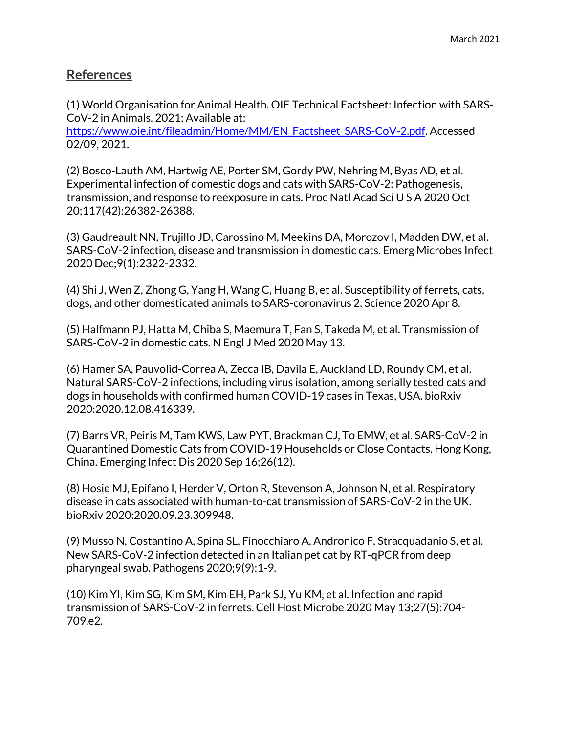#### **References**

(1) World Organisation for Animal Health. OIE Technical Factsheet: Infection with SARS-CoV-2 in Animals. 2021; Available at:

https://www.oie.int/fileadmin/Home/MM/EN\_Factsheet\_SARS-CoV-2.pdf. Accessed 02/09, 2021.

(2) Bosco-Lauth AM, Hartwig AE, Porter SM, Gordy PW, Nehring M, Byas AD, et al. Experimental infection of domestic dogs and cats with SARS-CoV-2: Pathogenesis, transmission, and response to reexposure in cats. Proc Natl Acad Sci U S A 2020 Oct 20;117(42):26382-26388.

(3) Gaudreault NN, Trujillo JD, Carossino M, Meekins DA, Morozov I, Madden DW, et al. SARS-CoV-2 infection, disease and transmission in domestic cats. Emerg Microbes Infect 2020 Dec;9(1):2322-2332.

(4) Shi J, Wen Z, Zhong G, Yang H, Wang C, Huang B, et al. Susceptibility of ferrets, cats, dogs, and other domesticated animals to SARS-coronavirus 2. Science 2020 Apr 8.

(5) Halfmann PJ, Hatta M, Chiba S, Maemura T, Fan S, Takeda M, et al. Transmission of SARS-CoV-2 in domestic cats. N Engl J Med 2020 May 13.

(6) Hamer SA, Pauvolid-Correa A, Zecca IB, Davila E, Auckland LD, Roundy CM, et al. Natural SARS-CoV-2 infections, including virus isolation, among serially tested cats and dogs in households with confirmed human COVID-19 cases in Texas, USA. bioRxiv 2020:2020.12.08.416339.

(7) Barrs VR, Peiris M, Tam KWS, Law PYT, Brackman CJ, To EMW, et al. SARS-CoV-2 in Quarantined Domestic Cats from COVID-19 Households or Close Contacts, Hong Kong, China. Emerging Infect Dis 2020 Sep 16;26(12).

(8) Hosie MJ, Epifano I, Herder V, Orton R, Stevenson A, Johnson N, et al. Respiratory disease in cats associated with human-to-cat transmission of SARS-CoV-2 in the UK. bioRxiv 2020:2020.09.23.309948.

(9) Musso N, Costantino A, Spina SL, Finocchiaro A, Andronico F, Stracquadanio S, et al. New SARS-CoV-2 infection detected in an Italian pet cat by RT-qPCR from deep pharyngeal swab. Pathogens 2020;9(9):1-9.

(10) Kim YI, Kim SG, Kim SM, Kim EH, Park SJ, Yu KM, et al. Infection and rapid transmission of SARS-CoV-2 in ferrets. Cell Host Microbe 2020 May 13;27(5):704- 709.e2.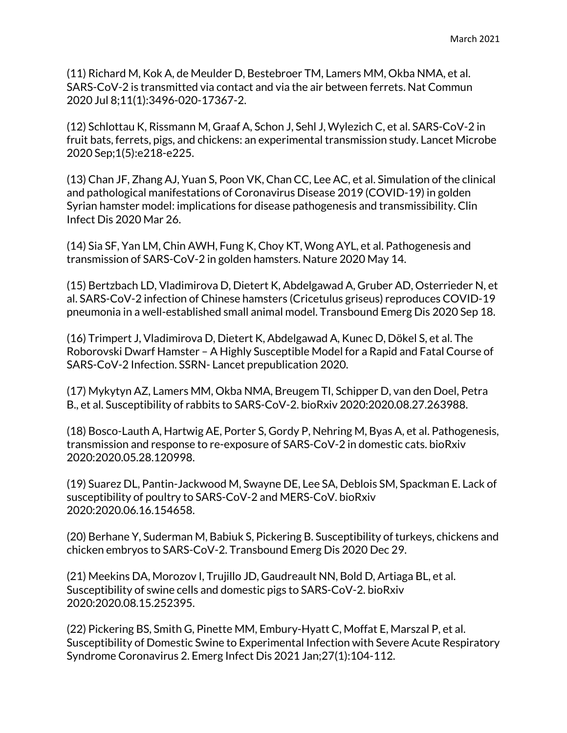(11) Richard M, Kok A, de Meulder D, Bestebroer TM, Lamers MM, Okba NMA, et al. SARS-CoV-2 is transmitted via contact and via the air between ferrets. Nat Commun 2020 Jul 8;11(1):3496-020-17367-2.

(12) Schlottau K, Rissmann M, Graaf A, Schon J, Sehl J, Wylezich C, et al. SARS-CoV-2 in fruit bats, ferrets, pigs, and chickens: an experimental transmission study. Lancet Microbe 2020 Sep;1(5):e218-e225.

(13) Chan JF, Zhang AJ, Yuan S, Poon VK, Chan CC, Lee AC, et al. Simulation of the clinical and pathological manifestations of Coronavirus Disease 2019 (COVID-19) in golden Syrian hamster model: implications for disease pathogenesis and transmissibility. Clin Infect Dis 2020 Mar 26.

(14) Sia SF, Yan LM, Chin AWH, Fung K, Choy KT, Wong AYL, et al. Pathogenesis and transmission of SARS-CoV-2 in golden hamsters. Nature 2020 May 14.

(15) Bertzbach LD, Vladimirova D, Dietert K, Abdelgawad A, Gruber AD, Osterrieder N, et al. SARS-CoV-2 infection of Chinese hamsters (Cricetulus griseus) reproduces COVID-19 pneumonia in a well-established small animal model. Transbound Emerg Dis 2020 Sep 18.

(16) Trimpert J, Vladimirova D, Dietert K, Abdelgawad A, Kunec D, Dökel S, et al. The Roborovski Dwarf Hamster – A Highly Susceptible Model for a Rapid and Fatal Course of SARS-CoV-2 Infection. SSRN- Lancet prepublication 2020.

(17) Mykytyn AZ, Lamers MM, Okba NMA, Breugem TI, Schipper D, van den Doel, Petra B., et al. Susceptibility of rabbits to SARS-CoV-2. bioRxiv 2020:2020.08.27.263988.

(18) Bosco-Lauth A, Hartwig AE, Porter S, Gordy P, Nehring M, Byas A, et al. Pathogenesis, transmission and response to re-exposure of SARS-CoV-2 in domestic cats. bioRxiv 2020:2020.05.28.120998.

(19) Suarez DL, Pantin-Jackwood M, Swayne DE, Lee SA, Deblois SM, Spackman E. Lack of susceptibility of poultry to SARS-CoV-2 and MERS-CoV. bioRxiv 2020:2020.06.16.154658.

(20) Berhane Y, Suderman M, Babiuk S, Pickering B. Susceptibility of turkeys, chickens and chicken embryos to SARS-CoV-2. Transbound Emerg Dis 2020 Dec 29.

(21) Meekins DA, Morozov I, Trujillo JD, Gaudreault NN, Bold D, Artiaga BL, et al. Susceptibility of swine cells and domestic pigs to SARS-CoV-2. bioRxiv 2020:2020.08.15.252395.

(22) Pickering BS, Smith G, Pinette MM, Embury-Hyatt C, Moffat E, Marszal P, et al. Susceptibility of Domestic Swine to Experimental Infection with Severe Acute Respiratory Syndrome Coronavirus 2. Emerg Infect Dis 2021 Jan;27(1):104-112.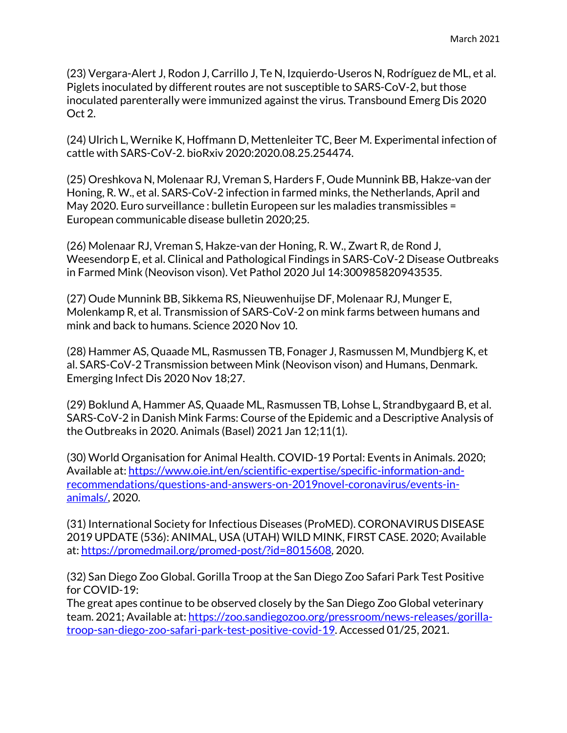(23) Vergara-Alert J, Rodon J, Carrillo J, Te N, Izquierdo-Useros N, Rodríguez de ML, et al. Piglets inoculated by different routes are not susceptible to SARS-CoV-2, but those inoculated parenterally were immunized against the virus. Transbound Emerg Dis 2020 Oct 2.

(24) Ulrich L, Wernike K, Hoffmann D, Mettenleiter TC, Beer M. Experimental infection of cattle with SARS-CoV-2. bioRxiv 2020:2020.08.25.254474.

(25) Oreshkova N, Molenaar RJ, Vreman S, Harders F, Oude Munnink BB, Hakze-van der Honing, R. W., et al. SARS-CoV-2 infection in farmed minks, the Netherlands, April and May 2020. Euro surveillance : bulletin Europeen sur les maladies transmissibles = European communicable disease bulletin 2020;25.

(26) Molenaar RJ, Vreman S, Hakze-van der Honing, R. W., Zwart R, de Rond J, Weesendorp E, et al. Clinical and Pathological Findings in SARS-CoV-2 Disease Outbreaks in Farmed Mink (Neovison vison). Vet Pathol 2020 Jul 14:300985820943535.

(27) Oude Munnink BB, Sikkema RS, Nieuwenhuijse DF, Molenaar RJ, Munger E, Molenkamp R, et al. Transmission of SARS-CoV-2 on mink farms between humans and mink and back to humans. Science 2020 Nov 10.

(28) Hammer AS, Quaade ML, Rasmussen TB, Fonager J, Rasmussen M, Mundbjerg K, et al. SARS-CoV-2 Transmission between Mink (Neovison vison) and Humans, Denmark. Emerging Infect Dis 2020 Nov 18;27.

(29) Boklund A, Hammer AS, Quaade ML, Rasmussen TB, Lohse L, Strandbygaard B, et al. SARS-CoV-2 in Danish Mink Farms: Course of the Epidemic and a Descriptive Analysis of the Outbreaks in 2020. Animals (Basel) 2021 Jan 12;11(1).

(30) World Organisation for Animal Health. COVID-19 Portal: Events in Animals. 2020; Available at: https://www.oie.int/en/scientific-expertise/specific-information-andrecommendations/questions-and-answers-on-2019novel-coronavirus/events-inanimals/, 2020.

(31) International Society for Infectious Diseases (ProMED). CORONAVIRUS DISEASE 2019 UPDATE (536): ANIMAL, USA (UTAH) WILD MINK, FIRST CASE. 2020; Available at: https://promedmail.org/promed-post/?id=8015608, 2020.

(32) San Diego Zoo Global. Gorilla Troop at the San Diego Zoo Safari Park Test Positive for COVID-19:

The great apes continue to be observed closely by the San Diego Zoo Global veterinary team. 2021; Available at: https://zoo.sandiegozoo.org/pressroom/news-releases/gorillatroop-san-diego-zoo-safari-park-test-positive-covid-19. Accessed 01/25, 2021.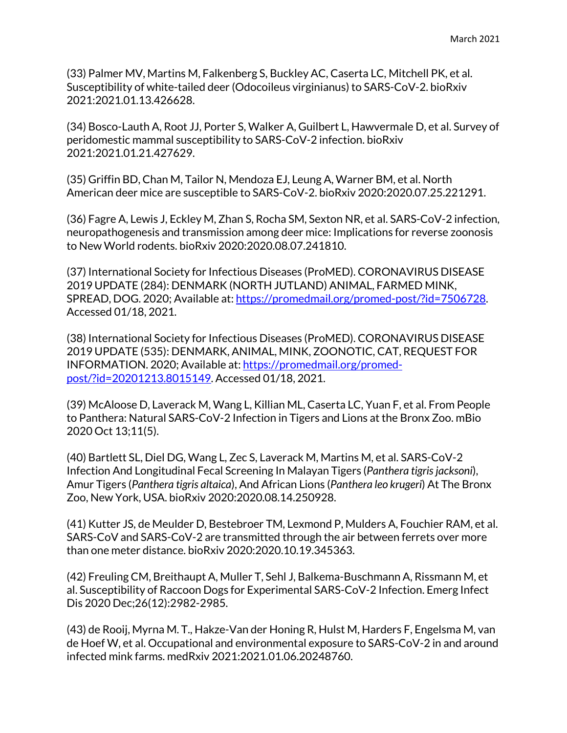(33) Palmer MV, Martins M, Falkenberg S, Buckley AC, Caserta LC, Mitchell PK, et al. Susceptibility of white-tailed deer (Odocoileus virginianus) to SARS-CoV-2. bioRxiv 2021:2021.01.13.426628.

(34) Bosco-Lauth A, Root JJ, Porter S, Walker A, Guilbert L, Hawvermale D, et al. Survey of peridomestic mammal susceptibility to SARS-CoV-2 infection. bioRxiv 2021:2021.01.21.427629.

(35) Griffin BD, Chan M, Tailor N, Mendoza EJ, Leung A, Warner BM, et al. North American deer mice are susceptible to SARS-CoV-2. bioRxiv 2020:2020.07.25.221291.

(36) Fagre A, Lewis J, Eckley M, Zhan S, Rocha SM, Sexton NR, et al. SARS-CoV-2 infection, neuropathogenesis and transmission among deer mice: Implications for reverse zoonosis to New World rodents. bioRxiv 2020:2020.08.07.241810.

(37) International Society for Infectious Diseases (ProMED). CORONAVIRUS DISEASE 2019 UPDATE (284): DENMARK (NORTH JUTLAND) ANIMAL, FARMED MINK, SPREAD, DOG. 2020; Available at: https://promedmail.org/promed-post/?id=7506728. Accessed 01/18, 2021.

(38) International Society for Infectious Diseases (ProMED). CORONAVIRUS DISEASE 2019 UPDATE (535): DENMARK, ANIMAL, MINK, ZOONOTIC, CAT, REQUEST FOR INFORMATION. 2020; Available at: https://promedmail.org/promedpost/?id=20201213.8015149. Accessed 01/18, 2021.

(39) McAloose D, Laverack M, Wang L, Killian ML, Caserta LC, Yuan F, et al. From People to Panthera: Natural SARS-CoV-2 Infection in Tigers and Lions at the Bronx Zoo. mBio 2020 Oct 13;11(5).

(40) Bartlett SL, Diel DG, Wang L, Zec S, Laverack M, Martins M, et al. SARS-CoV-2 Infection And Longitudinal Fecal Screening In Malayan Tigers (*Panthera tigris jacksoni*), Amur Tigers (*Panthera tigris altaica*), And African Lions (*Panthera leo krugeri*) At The Bronx Zoo, New York, USA. bioRxiv 2020:2020.08.14.250928.

(41) Kutter JS, de Meulder D, Bestebroer TM, Lexmond P, Mulders A, Fouchier RAM, et al. SARS-CoV and SARS-CoV-2 are transmitted through the air between ferrets over more than one meter distance. bioRxiv 2020:2020.10.19.345363.

(42) Freuling CM, Breithaupt A, Muller T, Sehl J, Balkema-Buschmann A, Rissmann M, et al. Susceptibility of Raccoon Dogs for Experimental SARS-CoV-2 Infection. Emerg Infect Dis 2020 Dec;26(12):2982-2985.

(43) de Rooij, Myrna M. T., Hakze-Van der Honing R, Hulst M, Harders F, Engelsma M, van de Hoef W, et al. Occupational and environmental exposure to SARS-CoV-2 in and around infected mink farms. medRxiv 2021:2021.01.06.20248760.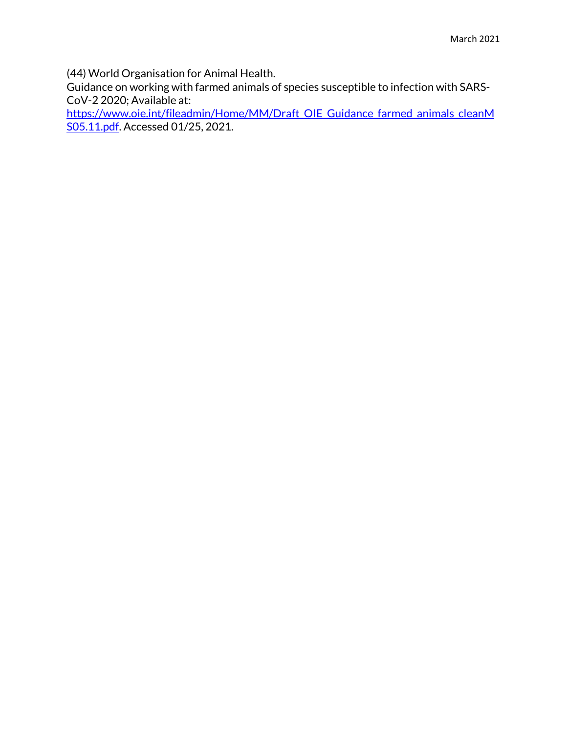(44) World Organisation for Animal Health.

Guidance on working with farmed animals of species susceptible to infection with SARS-CoV-2 2020; Available at:

https://www.oie.int/fileadmin/Home/MM/Draft\_OIE\_Guidance\_farmed\_animals\_cleanM S05.11.pdf. Accessed 01/25, 2021.